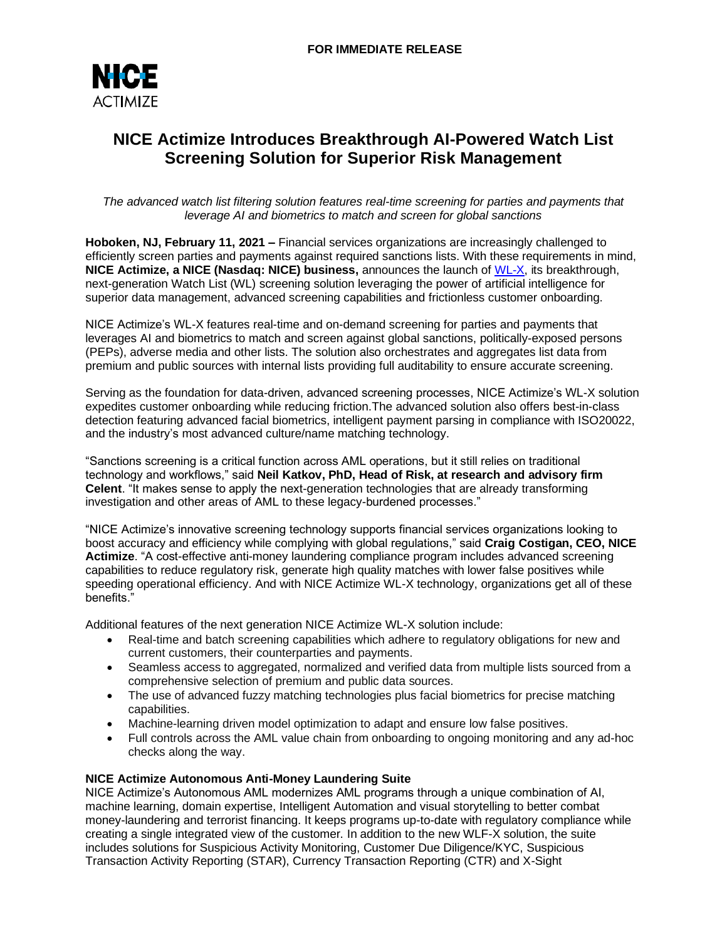

# **NICE Actimize Introduces Breakthrough AI-Powered Watch List Screening Solution for Superior Risk Management**

*The advanced watch list filtering solution features real-time screening for parties and payments that leverage AI and biometrics to match and screen for global sanctions*

**Hoboken, NJ, February 11, 2021 –** Financial services organizations are increasingly challenged to efficiently screen parties and payments against required sanctions lists. With these requirements in mind, **NICE Actimize, a NICE (Nasdaq: NICE) business,** announces the launch of [WL-X,](http://niceactimize.com/anti-money-laundering/sanctions-screening) its breakthrough, next-generation Watch List (WL) screening solution leveraging the power of artificial intelligence for superior data management, advanced screening capabilities and frictionless customer onboarding.

NICE Actimize's WL-X features real-time and on-demand screening for parties and payments that leverages AI and biometrics to match and screen against global sanctions, politically-exposed persons (PEPs), adverse media and other lists. The solution also orchestrates and aggregates list data from premium and public sources with internal lists providing full auditability to ensure accurate screening.

Serving as the foundation for data-driven, advanced screening processes, NICE Actimize's WL-X solution expedites customer onboarding while reducing friction.The advanced solution also offers best-in-class detection featuring advanced facial biometrics, intelligent payment parsing in compliance with ISO20022, and the industry's most advanced culture/name matching technology.

"Sanctions screening is a critical function across AML operations, but it still relies on traditional technology and workflows," said **Neil Katkov, PhD, Head of Risk, at research and advisory firm Celent**. "It makes sense to apply the next-generation technologies that are already transforming investigation and other areas of AML to these legacy-burdened processes."

"NICE Actimize's innovative screening technology supports financial services organizations looking to boost accuracy and efficiency while complying with global regulations," said **Craig Costigan, CEO, NICE Actimize**. "A cost-effective anti-money laundering compliance program includes advanced screening capabilities to reduce regulatory risk, generate high quality matches with lower false positives while speeding operational efficiency. And with NICE Actimize WL-X technology, organizations get all of these benefits."

Additional features of the next generation NICE Actimize WL-X solution include:

- Real-time and batch screening capabilities which adhere to regulatory obligations for new and current customers, their counterparties and payments.
- Seamless access to aggregated, normalized and verified data from multiple lists sourced from a comprehensive selection of premium and public data sources.
- The use of advanced fuzzy matching technologies plus facial biometrics for precise matching capabilities.
- Machine-learning driven model optimization to adapt and ensure low false positives.
- Full controls across the AML value chain from onboarding to ongoing monitoring and any ad-hoc checks along the way.

# **NICE Actimize Autonomous Anti-Money Laundering Suite**

NICE Actimize's Autonomous AML modernizes AML programs through a unique combination of AI, machine learning, domain expertise, Intelligent Automation and visual storytelling to better combat money-laundering and terrorist financing. It keeps programs up-to-date with regulatory compliance while creating a single integrated view of the customer. In addition to the new WLF-X solution, the suite includes solutions for Suspicious Activity Monitoring, Customer Due Diligence/KYC, Suspicious Transaction Activity Reporting (STAR), Currency Transaction Reporting (CTR) and X-Sight